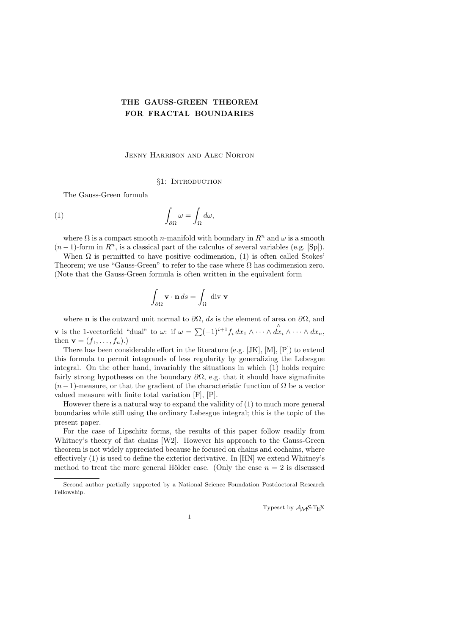# THE GAUSS-GREEN THEOREM FOR FRACTAL BOUNDARIES

### Jenny Harrison and Alec Norton

### §1: INTRODUCTION

The Gauss-Green formula

(1) 
$$
\int_{\partial\Omega}\omega = \int_{\Omega}d\omega,
$$

where  $\Omega$  is a compact smooth *n*-manifold with boundary in  $R^n$  and  $\omega$  is a smooth  $(n-1)$ -form in  $R<sup>n</sup>$ , is a classical part of the calculus of several variables (e.g. [Sp]).

When  $\Omega$  is permitted to have positive codimension, (1) is often called Stokes' Theorem; we use "Gauss-Green" to refer to the case where  $\Omega$  has codimension zero. (Note that the Gauss-Green formula is often written in the equivalent form

$$
\int_{\partial\Omega} \mathbf{v} \cdot \mathbf{n} \, ds = \int_{\Omega} \text{ div } \mathbf{v}
$$

where **n** is the outward unit normal to  $\partial\Omega$ , ds is the element of area on  $\partial\Omega$ , and **v** is the 1-vectorfield "dual" to  $\omega$ : if  $\omega = \sum (-1)^{i+1} f_i dx_1 \wedge \cdots \wedge \hat{dx_i} \wedge \cdots \wedge dx_n$ , then **v** =  $(f_1, ..., f_n)$ .)

There has been considerable effort in the literature (e.g. [JK], [M], [P]) to extend this formula to permit integrands of less regularity by generalizing the Lebesgue integral. On the other hand, invariably the situations in which (1) holds require fairly strong hypotheses on the boundary  $\partial\Omega$ , e.g. that it should have sigmafinite  $(n-1)$ -measure, or that the gradient of the characteristic function of  $\Omega$  be a vector valued measure with finite total variation [F], [P].

However there is a natural way to expand the validity of (1) to much more general boundaries while still using the ordinary Lebesgue integral; this is the topic of the present paper.

For the case of Lipschitz forms, the results of this paper follow readily from Whitney's theory of flat chains [W2]. However his approach to the Gauss-Green theorem is not widely appreciated because he focused on chains and cochains, where effectively (1) is used to define the exterior derivative. In [HN] we extend Whitney's method to treat the more general Hölder case. (Only the case  $n = 2$  is discussed

1

Typeset by  $A_{\mathcal{M}}S$ -TEX

Second author partially supported by a National Science Foundation Postdoctoral Research Fellowship.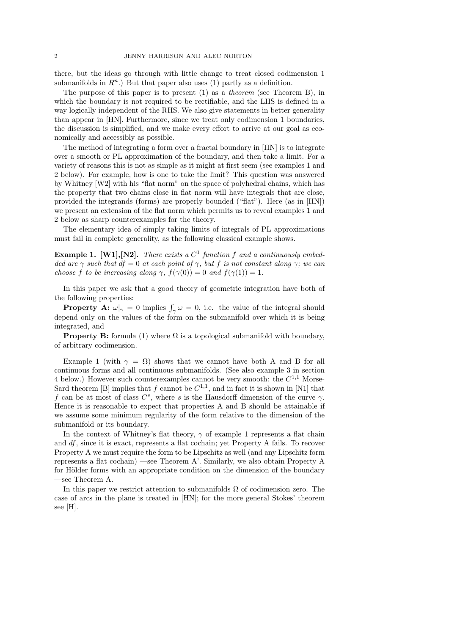there, but the ideas go through with little change to treat closed codimension 1 submanifolds in  $R^n$ .) But that paper also uses (1) partly as a definition.

The purpose of this paper is to present (1) as a theorem (see Theorem B), in which the boundary is not required to be rectifiable, and the LHS is defined in a way logically independent of the RHS. We also give statements in better generality than appear in [HN]. Furthermore, since we treat only codimension 1 boundaries, the discussion is simplified, and we make every effort to arrive at our goal as economically and accessibly as possible.

The method of integrating a form over a fractal boundary in [HN] is to integrate over a smooth or PL approximation of the boundary, and then take a limit. For a variety of reasons this is not as simple as it might at first seem (see examples 1 and 2 below). For example, how is one to take the limit? This question was answered by Whitney [W2] with his "flat norm" on the space of polyhedral chains, which has the property that two chains close in flat norm will have integrals that are close, provided the integrands (forms) are properly bounded ("flat"). Here (as in [HN]) we present an extension of the flat norm which permits us to reveal examples 1 and 2 below as sharp counterexamples for the theory.

The elementary idea of simply taking limits of integrals of PL approximations must fail in complete generality, as the following classical example shows.

**Example 1.** [W1], [N2]. There exists a  $C^1$  function f and a continuously embedded arc  $\gamma$  such that df = 0 at each point of  $\gamma$ , but f is not constant along  $\gamma$ ; we can choose f to be increasing along  $\gamma$ ,  $f(\gamma(0)) = 0$  and  $f(\gamma(1)) = 1$ .

In this paper we ask that a good theory of geometric integration have both of the following properties:

**Property A:**  $\omega|_{\gamma} = 0$  implies  $\int_{\gamma} \omega = 0$ , i.e. the value of the integral should depend only on the values of the form on the submanifold over which it is being integrated, and

**Property B:** formula (1) where  $\Omega$  is a topological submanifold with boundary, of arbitrary codimension.

Example 1 (with  $\gamma = \Omega$ ) shows that we cannot have both A and B for all continuous forms and all continuous submanifolds. (See also example 3 in section 4 below.) However such counterexamples cannot be very smooth: the  $C^{1,1}$  Morse-Sard theorem [B] implies that f cannot be  $C^{1,1}$ , and in fact it is shown in [N1] that f can be at most of class  $C^s$ , where s is the Hausdorff dimension of the curve  $\gamma$ . Hence it is reasonable to expect that properties A and B should be attainable if we assume some minimum regularity of the form relative to the dimension of the submanifold or its boundary.

In the context of Whitney's flat theory,  $\gamma$  of example 1 represents a flat chain and df, since it is exact, represents a flat cochain; yet Property A fails. To recover Property A we must require the form to be Lipschitz as well (and any Lipschitz form represents a flat cochain) —see Theorem A'. Similarly, we also obtain Property A for Hölder forms with an appropriate condition on the dimension of the boundary —see Theorem A.

In this paper we restrict attention to submanifolds  $\Omega$  of codimension zero. The case of arcs in the plane is treated in [HN]; for the more general Stokes' theorem see [H].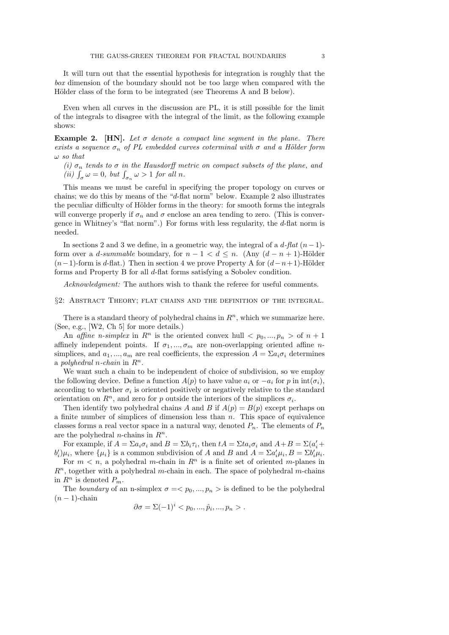It will turn out that the essential hypothesis for integration is roughly that the box dimension of the boundary should not be too large when compared with the Hölder class of the form to be integrated (see Theorems A and B below).

Even when all curves in the discussion are PL, it is still possible for the limit of the integrals to disagree with the integral of the limit, as the following example shows:

**Example 2.** [HN]. Let  $\sigma$  denote a compact line segment in the plane. There exists a sequence  $\sigma_n$  of PL embedded curves coterminal with  $\sigma$  and a Hölder form  $\omega$  so that

(i)  $\sigma_n$  tends to  $\sigma$  in the Hausdorff metric on compact subsets of the plane, and (*ii*)  $\int_{\sigma} \omega = 0$ , but  $\int_{\sigma_n} \omega > 1$  for all *n*.

This means we must be careful in specifying the proper topology on curves or chains; we do this by means of the "d-flat norm" below. Example 2 also illustrates the peculiar difficulty of Hölder forms in the theory: for smooth forms the integrals will converge properly if  $\sigma_n$  and  $\sigma$  enclose an area tending to zero. (This is convergence in Whitney's "flat norm".) For forms with less regularity, the d-flat norm is needed.

In sections 2 and 3 we define, in a geometric way, the integral of a  $d$ -flat  $(n-1)$ form over a *d-summable* boundary, for  $n - 1 < d \leq n$ . (Any  $(d - n + 1)$ -Hölder  $(n-1)$ -form is d-flat.) Then in section 4 we prove Property A for  $(d-n+1)$ -Hölder forms and Property B for all d-flat forms satisfying a Sobolev condition.

Acknowledgment: The authors wish to thank the referee for useful comments.

§2: Abstract Theory; flat chains and the definition of the integral.

There is a standard theory of polyhedral chains in  $\mathbb{R}^n$ , which we summarize here. (See, e.g., [W2, Ch 5] for more details.)

An affine *n*-simplex in  $R^n$  is the oriented convex hull  $\langle p_0, ..., p_n \rangle$  of  $n+1$ affinely independent points. If  $\sigma_1, ..., \sigma_m$  are non-overlapping oriented affine *n*simplices, and  $a_1, ..., a_m$  are real coefficients, the expression  $A = \sum a_i \sigma_i$  determines a polyhedral n-chain in  $R^n$ .

We want such a chain to be independent of choice of subdivision, so we employ the following device. Define a function  $A(p)$  to have value  $a_i$  or  $-a_i$  for p in  $\text{int}(\sigma_i)$ , according to whether  $\sigma_i$  is oriented positively or negatively relative to the standard orientation on  $R^n$ , and zero for p outside the interiors of the simplices  $\sigma_i$ .

Then identify two polyhedral chains A and B if  $A(p) = B(p)$  except perhaps on a finite number of simplices of dimension less than  $n$ . This space of equivalence classes forms a real vector space in a natural way, denoted  $P_n$ . The elements of  $P_n$ are the polyhedral *n*-chains in  $R^n$ .

For example, if  $A = \sum a_i \sigma_i$  and  $B = \sum b_i \tau_i$ , then  $tA = \sum t a_i \sigma_i$  and  $A + B = \sum (a'_i + b'_i)$  $b_i'$  $\mathcal{L}'_i|\mu_i$ , where  $\{\mu_i\}$  is a common subdivision of A and B and  $A = \sum a_i'$  $\sum'_i \mu_i, B = \sum b'_i$  $_i'\mu_i.$ 

For  $m < n$ , a polyhedral m-chain in  $\mathbb{R}^n$  is a finite set of oriented m-planes in  $R<sup>n</sup>$ , together with a polyhedral m-chain in each. The space of polyhedral m-chains in  $R^n$  is denoted  $P_m$ .

The boundary of an n-simplex  $\sigma = \langle p_0, ..., p_n \rangle$  is defined to be the polyhedral  $(n-1)$ -chain

$$
\partial \sigma = \Sigma (-1)^i < p_0, \ldots, \hat{p}_i, \ldots, p_n > \ldots
$$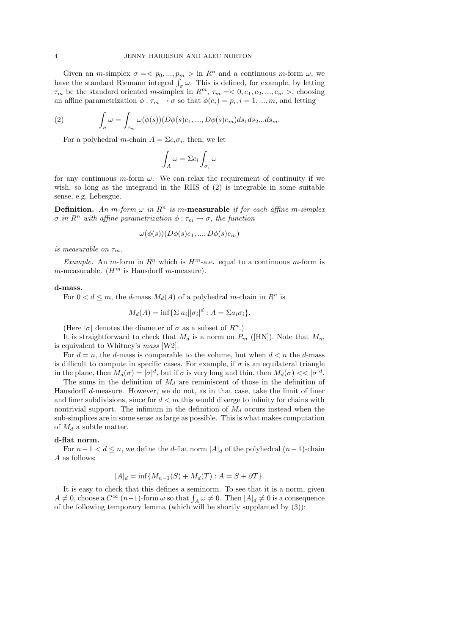Given an *m*-simplex  $\sigma = \langle p_0, ..., p_m \rangle$  in  $R^n$  and a continuous *m*-form  $\omega$ , we have the standard Riemann integral  $\int_{\sigma} \omega$ . This is defined, for example, by letting  $\tau_m$  be the standard oriented m-simplex in  $R^m$ ,  $\tau_m = 0, e_1, e_2, ..., e_m >$ , choosing an affine parametrization  $\phi : \tau_m \to \sigma$  so that  $\phi(e_i) = p_i, i = 1, ..., m$ , and letting

(2) 
$$
\int_{\sigma} \omega = \int_{\tau_m} \omega(\phi(s)) (D\phi(s)e_1, ..., D\phi(s)e_m) ds_1 ds_2...ds_m.
$$

For a polyhedral *m*-chain  $A = \sum c_i \sigma_i$ , then, we let

$$
\int_A \omega = \Sigma c_i \int_{\sigma_i} \omega
$$

for any continuous  $m$ -form  $\omega$ . We can relax the requirement of continuity if we wish, so long as the integrand in the RHS of (2) is integrable in some suitable sense, e.g. Lebesgue.

**Definition.** An m-form  $\omega$  in  $\mathbb{R}^n$  is m-measurable if for each affine m-simplex  $\sigma$  in  $R^n$  with affine parametrization  $\phi : \tau_m \to \sigma$ , the function

$$
\omega(\phi(s))(D\phi(s)e_1,...,D\phi(s)e_m)
$$

is measurable on  $\tau_m$ .

*Example.* An *m*-form in  $R^n$  which is  $H^m$ -a.e. equal to a continuous *m*-form is m-measurable.  $(H<sup>m</sup>$  is Hausdorff *m*-measure).

#### d-mass.

For  $0 < d \leq m$ , the d-mass  $M_d(A)$  of a polyhedral m-chain in  $R^n$  is

$$
M_d(A) = \inf \{ \Sigma |a_i| |\sigma_i|^d : A = \Sigma a_i \sigma_i \}.
$$

(Here  $|\sigma|$  denotes the diameter of  $\sigma$  as a subset of  $R^n$ .)

It is straightforward to check that  $M_d$  is a norm on  $P_m$  ([HN]). Note that  $M_m$ is equivalent to Whitney's mass [W2].

For  $d = n$ , the d-mass is comparable to the volume, but when  $d < n$  the d-mass is difficult to compute in specific cases. For example, if  $\sigma$  is an equilateral triangle in the plane, then  $M_d(\sigma) = |\sigma|^d$ , but if  $\sigma$  is very long and thin, then  $M_d(\sigma) \ll |\sigma|^d$ .

The sums in the definition of  $M_d$  are reminiscent of those in the definition of Hausdorff d-measure. However, we do not, as in that case, take the limit of finer and finer subdivisions, since for  $d < m$  this would diverge to infinity for chains with nontrivial support. The infimum in the definition of  $M_d$  occurs instead when the sub-simplices are in some sense as large as possible. This is what makes computation of  $M_d$  a subtle matter.

#### d-flat norm.

For  $n-1 < d \le n$ , we define the d-flat norm  $|A|_d$  of the polyhedral  $(n-1)$ -chain A as follows:

$$
|A|_d = \inf \{ M_{n-1}(S) + M_d(T) : A = S + \partial T \}.
$$

It is easy to check that this defines a seminorm. To see that it is a norm, given  $A \neq 0$ , choose a  $C^{\infty}$   $(n-1)$ -form  $\omega$  so that  $\int_A \omega \neq 0$ . Then  $|A|_d \neq 0$  is a consequence of the following temporary lemma (which will be shortly supplanted by (3)):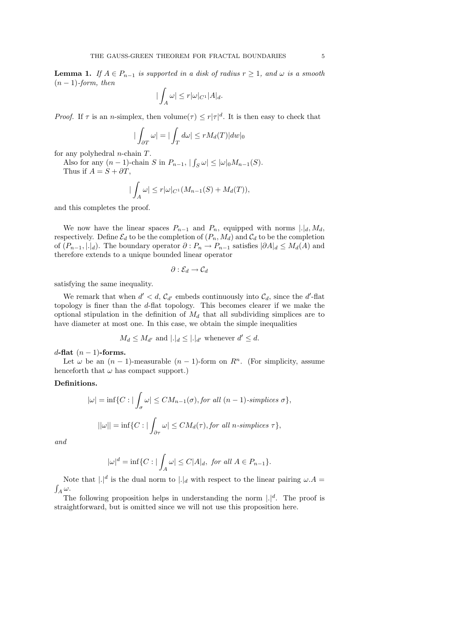**Lemma 1.** If  $A \in P_{n-1}$  is supported in a disk of radius  $r \ge 1$ , and  $\omega$  is a smooth  $(n-1)$ -form, then

$$
|\int_A \omega| \le r |\omega|_{C^1} |A|_d.
$$

*Proof.* If  $\tau$  is an *n*-simplex, then volume $(\tau) \leq r|\tau|^d$ . It is then easy to check that

$$
|\int_{\partial T} \omega| = |\int_T d\omega| \le r M_d(T) |dw|_0
$$

for any polyhedral *n*-chain  $T$ .

Also for any  $(n-1)$ -chain S in  $P_{n-1}$ ,  $|\int_S \omega| \leq |\omega|_0 M_{n-1}(S)$ . Thus if  $A = S + \partial T$ ,

$$
\left|\int_A \omega\right| \le r|\omega|_{C^1}(M_{n-1}(S) + M_d(T)),
$$

and this completes the proof.

We now have the linear spaces  $P_{n-1}$  and  $P_n$ , equipped with norms  $|.|_d, M_d$ , respectively. Define  $\mathcal{E}_d$  to be the completion of  $(P_n, M_d)$  and  $\mathcal{C}_d$  to be the completion of  $(P_{n-1}, |.|_d)$ . The boundary operator  $\partial : P_n \to P_{n-1}$  satisfies  $|\partial A|_d \leq M_d(A)$  and therefore extends to a unique bounded linear operator

$$
\partial:\mathcal{E}_d\to\mathcal{C}_d
$$

satisfying the same inequality.

We remark that when  $d' < d$ ,  $C_{d'}$  embeds continuously into  $C_d$ , since the d'-flat topology is finer than the d-flat topology. This becomes clearer if we make the optional stipulation in the definition of  $M_d$  that all subdividing simplices are to have diameter at most one. In this case, we obtain the simple inequalities

$$
M_d \leq M_{d'}
$$
 and  $|\cdot|_d \leq |\cdot|_{d'}$  whenever  $d' \leq d$ .

d-flat  $(n-1)$ -forms.

Let  $\omega$  be an  $(n-1)$ -measurable  $(n-1)$ -form on  $\mathbb{R}^n$ . (For simplicity, assume henceforth that  $\omega$  has compact support.)

# Definitions.

$$
|\omega| = \inf \{ C : |\int_{\sigma} \omega| \le CM_{n-1}(\sigma), \text{for all } (n-1)\text{-simplices } \sigma \},
$$
  

$$
||\omega|| = \inf \{ C : |\int_{\partial \tau} \omega| \le CM_d(\tau), \text{for all } n\text{-simplices } \tau \},
$$

and

$$
|\omega|^d = \inf \{ C : |\int_A \omega| \le C|A|_d, \text{ for all } A \in P_{n-1} \}.
$$

Note that  $|.|^d$  is the dual norm to  $|.|_d$  with respect to the linear pairing  $\omega.A =$  $\int_A \omega$ .

The following proposition helps in understanding the norm  $|.|^d$ . The proof is straightforward, but is omitted since we will not use this proposition here.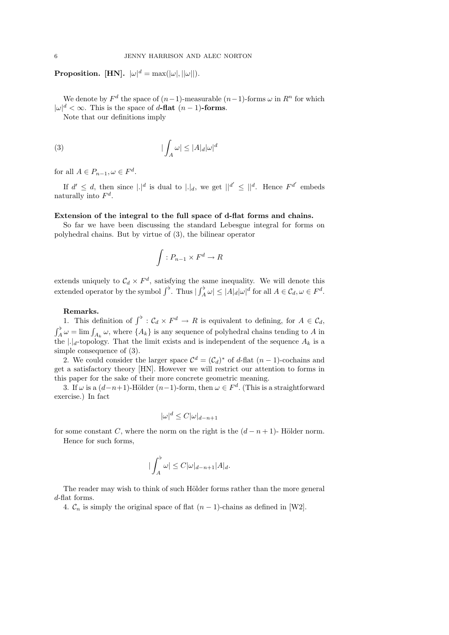**Proposition.** [HN].  $|\omega|^d = \max(|\omega|, ||\omega||)$ .

We denote by  $F^d$  the space of  $(n-1)$ -measurable  $(n-1)$ -forms  $\omega$  in  $R^n$  for which  $|\omega|^d < \infty$ . This is the space of d-flat  $(n-1)$ -forms.

Note that our definitions imply

(3) 
$$
|\int_A \omega| \le |A|_d |\omega|^d
$$

for all  $A \in P_{n-1}, \omega \in F^d$ .

If  $d' \leq d$ , then since  $|.|^d$  is dual to  $|.|_d$ , we get  $||^{d'} \leq ||^d$ . Hence  $F^{d'}$  embeds naturally into  $F^d$ .

# Extension of the integral to the full space of d-flat forms and chains.

So far we have been discussing the standard Lebesgue integral for forms on polyhedral chains. But by virtue of (3), the bilinear operator

$$
\int: P_{n-1} \times F^d \to R
$$

extends uniquely to  $\mathcal{C}_d \times F^d$ , satisfying the same inequality. We will denote this extended operator by the symbol  $\int^{\flat}$ . Thus  $|\int_A^{\flat} \omega| \leq |A|_d |\omega|^d$  for all  $A \in \mathcal{C}_d, \omega \in F^d$ .

### Remarks.

1. This definition of  $\int^{\flat} : C_d \times F^d \to R$  is equivalent to defining, for  $A \in C_d$ ,  $\int_A^{\flat} \omega = \lim \int_{A_k} \omega$ , where  $\{A_k\}$  is any sequence of polyhedral chains tending to A in the  $|.|_d$ -topology. That the limit exists and is independent of the sequence  $A_k$  is a simple consequence of (3).

2. We could consider the larger space  $\mathcal{C}^d = (\mathcal{C}_d)^*$  of d-flat  $(n-1)$ -cochains and get a satisfactory theory [HN]. However we will restrict our attention to forms in this paper for the sake of their more concrete geometric meaning.

3. If  $\omega$  is a  $(d-n+1)$ -Hölder  $(n-1)$ -form, then  $\omega \in F^d$ . (This is a straightforward exercise.) In fact

$$
|\omega|^d \le C|\omega|_{d-n+1}
$$

for some constant C, where the norm on the right is the  $(d - n + 1)$ - Hölder norm.

Hence for such forms,

$$
|\int_A^{\flat}\omega|\leq C|\omega|_{d-n+1}|A|_d.
$$

The reader may wish to think of such Hölder forms rather than the more general d-flat forms.

4.  $\mathcal{C}_n$  is simply the original space of flat  $(n-1)$ -chains as defined in [W2].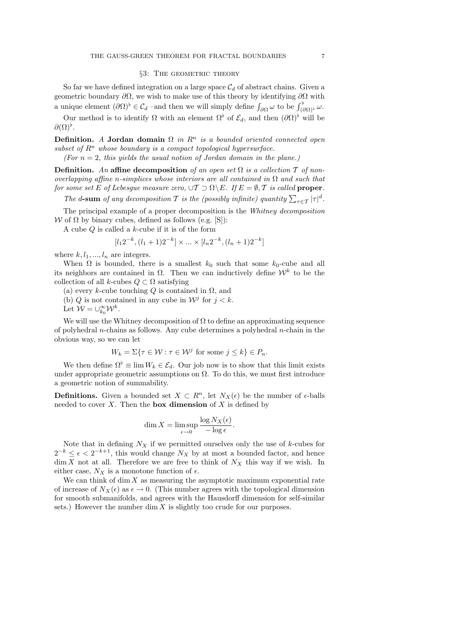### §3: THE GEOMETRIC THEORY

So far we have defined integration on a large space  $C_d$  of abstract chains. Given a geometric boundary  $\partial\Omega$ , we wish to make use of this theory by identifying  $\partial\Omega$  with a unique element  $(\partial \Omega)^{\flat} \in C_d$  –and then we will simply define  $\int_{\partial \Omega} \omega$  to be  $\int_{(\partial \Omega)^{\flat}}^{\flat} \omega$ .

Our method is to identify  $\Omega$  with an element  $\Omega^{\flat}$  of  $\mathcal{E}_d$ , and then  $(\partial \Omega)^{\flat}$  will be  $\partial(\Omega)^\flat.$ 

Definition. A Jordan domain  $\Omega$  in  $\mathbb{R}^n$  is a bounded oriented connected open subset of  $R^n$  whose boundary is a compact topological hypersurface.

(For  $n = 2$ , this yields the usual notion of Jordan domain in the plane.)

**Definition.** An affine decomposition of an open set  $\Omega$  is a collection  $\mathcal T$  of nonoverlapping affine n-simplices whose interiors are all contained in  $\Omega$  and such that for some set E of Lebesque measure zero,  $\cup \mathcal{T} \supset \Omega \backslash E$ . If  $E = \emptyset, \mathcal{T}$  is called **proper**.

The d-sum of any decomposition T is the (possibly infinite) quantity  $\sum_{\tau \in \mathcal{T}} |\tau|^d$ .

The principal example of a proper decomposition is the Whitney decomposition W of Ω by binary cubes, defined as follows (e.g. [S]):

A cube  $Q$  is called a  $k$ -cube if it is of the form

$$
[l_1 2^{-k}, (l_1+1)2^{-k}] \times \dots \times [l_n 2^{-k}, (l_n+1)2^{-k}]
$$

where  $k, l_1, ..., l_n$  are integers.

When  $\Omega$  is bounded, there is a smallest  $k_0$  such that some  $k_0$ -cube and all its neighbors are contained in  $\Omega$ . Then we can inductively define  $\mathcal{W}^k$  to be the collection of all k-cubes  $Q \subset \Omega$  satisfying

- (a) every k-cube touching  $Q$  is contained in  $\Omega$ , and
- (b) Q is not contained in any cube in  $\mathcal{W}^j$  for  $j < k$ .
- Let  $\mathcal{W} = \cup_{k_0}^{\infty} \mathcal{W}^k$ .

We will use the Whitney decomposition of  $\Omega$  to define an approximating sequence of polyhedral *n*-chains as follows. Any cube determines a polyhedral *n*-chain in the obvious way, so we can let

$$
W_k = \Sigma\{\tau \in \mathcal{W} : \tau \in \mathcal{W}^j \text{ for some } j \le k\} \in P_n.
$$

We then define  $\Omega^{\flat} \equiv \lim W_k \in \mathcal{E}_d$ . Our job now is to show that this limit exists under appropriate geometric assumptions on  $\Omega$ . To do this, we must first introduce a geometric notion of summability.

**Definitions.** Given a bounded set  $X \text{ }\subset R^n$ , let  $N_X(\epsilon)$  be the number of  $\epsilon$ -balls needed to cover  $X$ . Then the **box dimension** of  $X$  is defined by

$$
\dim X = \limsup_{\epsilon \to 0} \frac{\log N_X(\epsilon)}{-\log \epsilon}.
$$

Note that in defining  $N_X$  if we permitted ourselves only the use of k-cubes for  $2^{-k} \leq \epsilon < 2^{-k+1}$ , this would change  $N_X$  by at most a bounded factor, and hence  $\dim X$  not at all. Therefore we are free to think of  $N_X$  this way if we wish. In either case,  $N_X$  is a monotone function of  $\epsilon$ .

We can think of dim  $X$  as measuring the asymptotic maximum exponential rate of increase of  $N_X(\epsilon)$  as  $\epsilon \to 0$ . (This number agrees with the topological dimension for smooth submanifolds, and agrees with the Hausdorff dimension for self-similar sets.) However the number  $\dim X$  is slightly too crude for our purposes.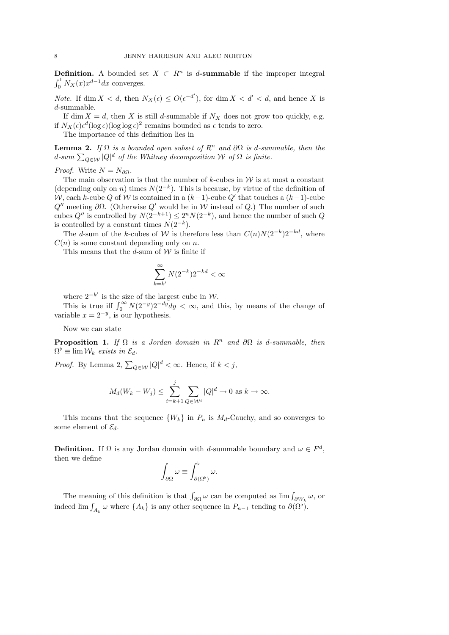**Definition.** A bounded set  $X \subset R^n$  is d-summable if the improper integral  $\int_0^1 N_X(x)x^{d-1}dx$  converges.

*Note.* If dim  $X < d$ , then  $N_X(\epsilon) \leq O(\epsilon^{-d'})$ , for dim  $X < d' < d$ , and hence X is d-summable.

If dim  $X = d$ , then X is still d-summable if  $N_X$  does not grow too quickly, e.g. if  $N_X(\epsilon) \epsilon^d (\log \epsilon) (\log \log \epsilon)^2$  remains bounded as  $\epsilon$  tends to zero.

The importance of this definition lies in

**Lemma 2.** If  $\Omega$  is a bounded open subset of  $R^n$  and  $\partial\Omega$  is d-summable, then the  $d\text{-}sum\sum_{Q\in\mathcal{W}}|Q|^d$  of the Whitney decomposition  $\mathcal W$  of  $\Omega$  is finite.

*Proof.* Write  $N = N_{\partial\Omega}$ .

The main observation is that the number of  $k$ -cubes in  $\mathcal W$  is at most a constant (depending only on n) times  $N(2^{-k})$ . This is because, by virtue of the definition of W, each k-cube Q of W is contained in a  $(k-1)$ -cube Q' that touches a  $(k-1)$ -cube  $Q''$  meeting  $\partial\Omega$ . (Otherwise  $Q'$  would be in W instead of Q.) The number of such cubes  $Q''$  is controlled by  $N(2^{-k+1}) \leq 2^{n} N(2^{-k})$ , and hence the number of such  $Q$ is controlled by a constant times  $N(2^{-k})$ .

The d-sum of the k-cubes of W is therefore less than  $C(n)N(2^{-k})2^{-kd}$ , where  $C(n)$  is some constant depending only on n.

This means that the  $d$ -sum of  $W$  is finite if

$$
\sum_{k=k'}^{\infty} N(2^{-k}) 2^{-kd} < \infty
$$

where  $2^{-k'}$  is the size of the largest cube in W.

This is true iff  $\int_0^\infty N(2^{-y})2^{-dy}dy < \infty$ , and this, by means of the change of variable  $x = 2^{-y}$ , is our hypothesis.

Now we can state

**Proposition 1.** If  $\Omega$  is a Jordan domain in  $\mathbb{R}^n$  and  $\partial\Omega$  is d-summable, then  $\Omega^{\flat} \equiv \lim \mathcal{W}_k$  exists in  $\mathcal{E}_d$ .

*Proof.* By Lemma 2,  $\sum_{Q \in \mathcal{W}} |Q|^d < \infty$ . Hence, if  $k < j$ ,

$$
M_d(W_k - W_j) \le \sum_{i=k+1}^j \sum_{Q \in \mathcal{W}^i} |Q|^d \to 0 \text{ as } k \to \infty.
$$

This means that the sequence  $\{W_k\}$  in  $P_n$  is  $M_d$ -Cauchy, and so converges to some element of  $\mathcal{E}_d$ .

**Definition.** If  $\Omega$  is any Jordan domain with d-summable boundary and  $\omega \in F^d$ , then we define

$$
\int_{\partial\Omega}\omega\equiv\int_{\partial(\Omega^{\flat})}^{\flat}\omega.
$$

The meaning of this definition is that  $\int_{\partial\Omega}\omega$  can be computed as  $\lim_{\partial\Omega} f_{\partial W_k} \omega$ , or indeed  $\lim_{k \to \infty} \int_{A_k} \omega$  where  $\{A_k\}$  is any other sequence in  $P_{n-1}$  tending to  $\partial(\Omega^{\flat})$ .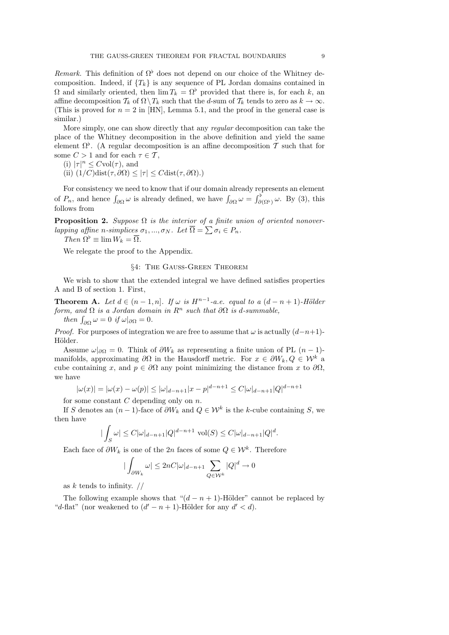Remark. This definition of  $\Omega^{\flat}$  does not depend on our choice of the Whitney decomposition. Indeed, if  ${T_k}$  is any sequence of PL Jordan domains contained in  $\Omega$  and similarly oriented, then  $\lim T_k = \Omega^{\flat}$  provided that there is, for each k, an affine decomposition  $\mathcal{T}_k$  of  $\Omega \setminus \mathcal{T}_k$  such that the d-sum of  $\mathcal{T}_k$  tends to zero as  $k \to \infty$ . (This is proved for  $n = 2$  in [HN], Lemma 5.1, and the proof in the general case is similar.)

More simply, one can show directly that any regular decomposition can take the place of the Whitney decomposition in the above definition and yield the same element  $\Omega^{\flat}$ . (A regular decomposition is an affine decomposition T such that for some  $C > 1$  and for each  $\tau \in \mathcal{T}$ ,

(i)  $|\tau|^n \leq C \text{vol}(\tau)$ , and

(ii)  $(1/C)\text{dist}(\tau, \partial \Omega) \leq |\tau| \leq C\text{dist}(\tau, \partial \Omega).$ 

For consistency we need to know that if our domain already represents an element of  $P_n$ , and hence  $\int_{\partial\Omega}\omega$  is already defined, we have  $\int_{\partial\Omega}\omega = \int_{\partial(\Omega^{\flat})}^{\flat}\omega$ . By (3), this follows from

**Proposition 2.** Suppose  $\Omega$  is the interior of a finite union of oriented nonoverlapping affine n-simplices  $\sigma_1, ..., \sigma_N$ . Let  $\overline{\Omega} = \sum \sigma_i \in P_n$ .

Then  $\Omega^{\flat} \equiv \lim W_k = \overline{\Omega}.$ 

We relegate the proof to the Appendix.

# §4: The Gauss-Green Theorem

We wish to show that the extended integral we have defined satisfies properties A and B of section 1. First,

**Theorem A.** Let  $d \in (n-1,n]$ . If  $\omega$  is  $H^{n-1}$ -a.e. equal to a  $(d-n+1)$ -Hölder form, and  $\Omega$  is a Jordan domain in  $\mathbb{R}^n$  such that  $\partial\Omega$  is d-summable,

then  $\int_{\partial\Omega} \omega = 0$  if  $\omega|_{\partial\Omega} = 0$ .

*Proof.* For purposes of integration we are free to assume that  $\omega$  is actually  $(d-n+1)$ -Hölder.

Assume  $\omega|_{\partial\Omega} = 0$ . Think of  $\partial W_k$  as representing a finite union of PL  $(n-1)$ manifolds, approximating  $\partial\Omega$  in the Hausdorff metric. For  $x \in \partial W_k, Q \in \mathcal{W}^k$  a cube containing x, and  $p \in \partial\Omega$  any point minimizing the distance from x to  $\partial\Omega$ , we have

$$
|\omega(x)| = |\omega(x) - \omega(p)| \le |\omega|_{d-n+1}|x - p|^{d-n+1} \le C|\omega|_{d-n+1}|Q|^{d-n+1}
$$

for some constant  $C$  depending only on  $n$ .

If S denotes an  $(n-1)$ -face of  $\partial W_k$  and  $Q \in \mathcal{W}^k$  is the k-cube containing S, we then have

$$
\left|\int_{S}\omega\right| \leq C|\omega|_{d-n+1}|Q|^{d-n+1} \operatorname{vol}(S) \leq C|\omega|_{d-n+1}|Q|^d.
$$

Each face of  $\partial W_k$  is one of the 2n faces of some  $Q \in \mathcal{W}^k$ . Therefore

$$
\left|\int_{\partial W_k} \omega\right| \le 2nC|\omega|_{d-n+1} \sum_{Q \in \mathcal{W}^k} |Q|^d \to 0
$$

as  $k$  tends to infinity.  $//$ 

The following example shows that " $(d - n + 1)$ -Hölder" cannot be replaced by "d-flat" (nor weakened to  $(d' - n + 1)$ -Hölder for any  $d' < d$ ).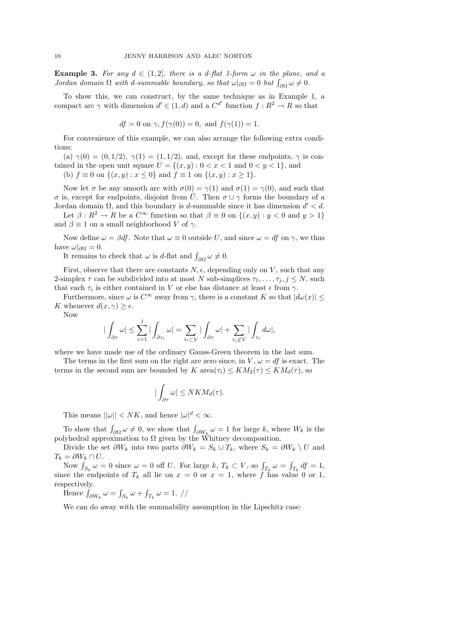**Example 3.** For any  $d \in (1,2]$ , there is a d-flat 1-form  $\omega$  in the plane, and a *Jordan domain*  $\Omega$  with *d*-summable boundary, so that  $\omega|_{\partial\Omega} = 0$  but  $\int_{\partial\Omega} \omega \neq 0$ .

To show this, we can construct, by the same technique as in Example 1, a compact arc  $\gamma$  with dimension  $d' \in (1, d)$  and a  $C^{d'}$  function  $f: R^2 \to R$  so that

$$
df = 0
$$
 on  $\gamma$ ,  $f(\gamma(0)) = 0$ , and  $f(\gamma(1)) = 1$ .

For convenience of this example, we can also arrange the following extra conditions:

(a)  $\gamma(0) = (0, 1/2), \gamma(1) = (1, 1/2),$  and, except for these endpoints,  $\gamma$  is contained in the open unit square  $U = \{(x, y): 0 < x < 1 \text{ and } 0 < y < 1\}$ , and

(b)  $f \equiv 0$  on  $\{(x, y) : x \le 0\}$  and  $f \equiv 1$  on  $\{(x, y) : x \ge 1\}.$ 

Now let  $\sigma$  be any smooth arc with  $\sigma(0) = \gamma(1)$  and  $\sigma(1) = \gamma(0)$ , and such that σ is, except for endpoints, disjoint from  $\overline{U}$ . Then  $\sigma \cup \gamma$  forms the boundary of a Jordan domain  $\Omega$ , and this boundary is d-summable since it has dimension  $d' < d$ . Let  $\beta: R^2 \to R$  be a  $C^{\infty}$  function so that  $\beta \equiv 0$  on  $\{(x, y) : y < 0 \text{ and } y > 1\}$ 

and  $\beta \equiv 1$  on a small neighborhood V of  $\gamma$ .

Now define  $\omega = \beta df$ . Note that  $\omega \equiv 0$  outside U, and since  $\omega = df$  on  $\gamma$ , we thus have  $\omega|_{\partial\Omega} = 0$ .

It remains to check that  $\omega$  is d-flat and  $\int_{\partial\Omega} \omega \neq 0$ .

First, observe that there are constants  $N, \epsilon$ , depending only on V, such that any 2-simplex  $\tau$  can be subdivided into at most N sub-simplices  $\tau_1, \ldots, \tau_i, j \leq N$ , such that each  $\tau_i$  is either contained in V or else has distance at least  $\epsilon$  from  $\gamma$ .

Furthermore, since  $\omega$  is  $C^{\infty}$  away from  $\gamma$ , there is a constant K so that  $|d\omega(x)| \leq$ K whenever  $d(x, \gamma) \geq \epsilon$ .

Now

$$
\big|\int_{\partial \tau} \omega\big| \leq \sum_{i=1}^j \big|\int_{\partial \tau_i} \omega\big| = \sum_{\tau_i \subset V} \big|\int_{\partial \tau} \omega\big| + \sum_{\tau_i \not\subset V} \big|\int_{\tau_i} d\omega\big|,
$$

where we have made use of the ordinary Gauss-Green theorem in the last sum.

The terms in the first sum on the right are zero since, in  $V, \omega = df$  is exact. The terms in the second sum are bounded by K area $(\tau_i) \leq KM_2(\tau) \leq KM_d(\tau)$ , so

$$
|\int_{\partial \tau} \omega| \le NKM_d(\tau).
$$

This means  $||\omega|| < NK$ , and hence  $|\omega|^d < \infty$ .

To show that  $\int_{\partial\Omega}\omega\neq 0$ , we show that  $\int_{\partial W_k}\omega=1$  for large k, where  $W_k$  is the polyhedral approximation to  $\Omega$  given by the Whitney decomposition.

Divide the set  $\partial W_k$  into two parts  $\partial W_k = S_k \cup T_k$ , where  $S_k = \partial W_k \setminus U$  and  $T_k = \partial W_k \cap U$ .

Now  $\int_{S_k} \omega = 0$  since  $\omega = 0$  off U. For large k,  $T_k \subset V$ , so  $\int_{T_k} \omega = \int_{T_k} df = 1$ , since the endpoints of  $T_k$  all lie on  $x = 0$  or  $x = 1$ , where f has value 0 or 1, respectively.

Hence  $\int_{\partial W_k} \omega = \int_{S_k} \omega + \int_{T_k} \omega = 1.$  //

We can do away with the summability assumption in the Lipschitz case: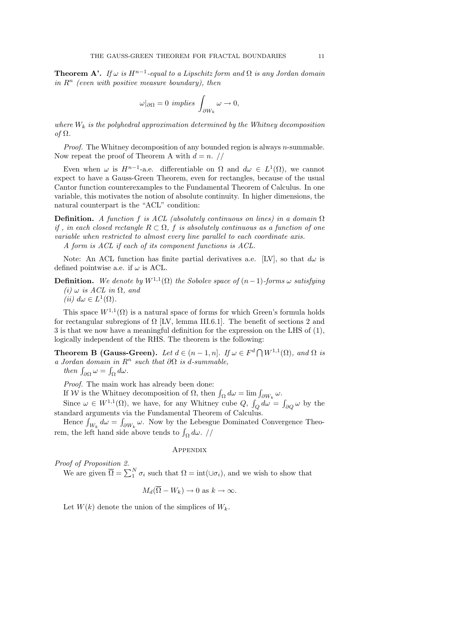**Theorem A'.** If  $\omega$  is  $H^{n-1}$ -equal to a Lipschitz form and  $\Omega$  is any Jordan domain in  $R^n$  (even with positive measure boundary), then

$$
\omega|_{\partial\Omega} = 0 \implies \int_{\partial W_k} \omega \to 0,
$$

where  $W_k$  is the polyhedral approximation determined by the Whitney decomposition of Ω.

*Proof.* The Whitney decomposition of any bounded region is always  $n$ -summable. Now repeat the proof of Theorem A with  $d = n$ . //

Even when  $\omega$  is  $H^{n-1}$ -a.e. differentiable on  $\Omega$  and  $d\omega \in L^1(\Omega)$ , we cannot expect to have a Gauss-Green Theorem, even for rectangles, because of the usual Cantor function counterexamples to the Fundamental Theorem of Calculus. In one variable, this motivates the notion of absolute continuity. In higher dimensions, the natural counterpart is the "ACL" condition:

**Definition.** A function f is ACL (absolutely continuous on lines) in a domain  $\Omega$ if, in each closed rectangle  $R \subset \Omega$ , f is absolutely continuous as a function of one variable when restricted to almost every line parallel to each coordinate axis. A form is ACL if each of its component functions is ACL.

Note: An ACL function has finite partial derivatives a.e. [LV], so that  $d\omega$  is defined pointwise a.e. if  $\omega$  is ACL.

**Definition.** We denote by  $W^{1,1}(\Omega)$  the Sobolev space of  $(n-1)$ -forms  $\omega$  satisfying (i)  $\omega$  is ACL in  $\Omega$ , and

(*ii*)  $d\omega \in L^1(\Omega)$ .

This space  $W^{1,1}(\Omega)$  is a natural space of forms for which Green's formula holds for rectangular subregions of  $\Omega$  [LV, lemma III.6.1]. The benefit of sections 2 and 3 is that we now have a meaningful definition for the expression on the LHS of (1), logically independent of the RHS. The theorem is the following:

**Theorem B (Gauss-Green).** Let  $d \in (n-1,n]$ . If  $\omega \in F^d \cap W^{1,1}(\Omega)$ , and  $\Omega$  is a Jordan domain in  $R^n$  such that  $\partial\Omega$  is d-summable,

then  $\int_{\partial\Omega} \omega = \int_{\Omega} d\omega$ .

Proof. The main work has already been done:

If W is the Whitney decomposition of  $\Omega$ , then  $\int_{\Omega} d\omega = \lim \int_{\partial W_k} \omega$ .

Since  $\omega \in W^{1,1}(\Omega)$ , we have, for any Whitney cube  $Q, \int_Q d\omega = \int_{\partial Q} \omega$  by the standard arguments via the Fundamental Theorem of Calculus.

Hence  $\int_{W_k} d\omega = \int_{\partial W_k} \omega$ . Now by the Lebesgue Dominated Convergence Theorem, the left hand side above tends to  $\int_{\Omega} d\omega$ . //

# **APPENDIX**

Proof of Proposition 2.

We are given  $\overline{\Omega} = \sum_{i=1}^{N} \sigma_i$  such that  $\Omega = \text{int}(\cup \sigma_i)$ , and we wish to show that

$$
M_d(\overline{\Omega} - W_k) \to 0 \text{ as } k \to \infty.
$$

Let  $W(k)$  denote the union of the simplices of  $W_k$ .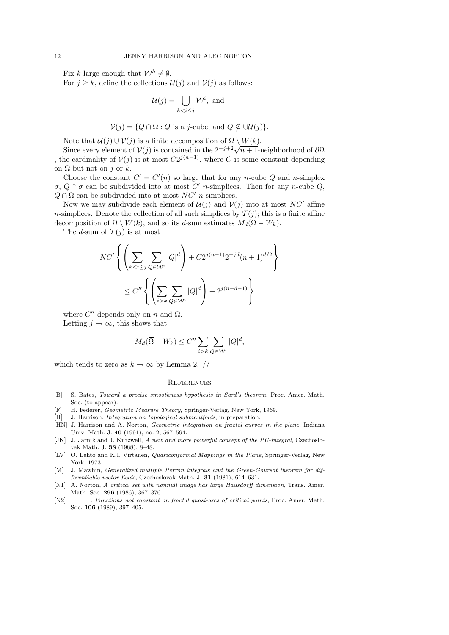Fix k large enough that  $\mathcal{W}^k \neq \emptyset$ .

For  $j \geq k$ , define the collections  $\mathcal{U}(j)$  and  $\mathcal{V}(j)$  as follows:

$$
\mathcal{U}(j) = \bigcup_{k < i \leq j} \mathcal{W}^i, \text{ and }
$$

$$
\mathcal{V}(j) = \{Q \cap \Omega : Q \text{ is a } j\text{-cube, and } Q \nsubseteq \cup \mathcal{U}(j)\}.
$$

Note that  $\mathcal{U}(j) \cup \mathcal{V}(j)$  is a finite decomposition of  $\Omega \setminus W(k)$ .

Note that  $U(j) \cup V(j)$  is a finite decomposition of  $\Omega \setminus W(k)$ .<br>Since every element of  $V(j)$  is contained in the  $2^{-j+2}\sqrt{n+1}$ -neighborhood of  $\partial\Omega$ , the cardinality of  $V(j)$  is at most  $C2^{j(n-1)}$ , where C is some constant depending on  $\Omega$  but not on j or k.

Choose the constant  $C' = C'(n)$  so large that for any *n*-cube Q and *n*-simplex  $\sigma$ ,  $Q \cap \sigma$  can be subdivided into at most  $C'$  *n*-simplices. Then for any *n*-cube  $Q$ ,  $Q \cap \Omega$  can be subdivided into at most  $NC'$  n-simplices.

Now we may subdivide each element of  $\mathcal{U}(j)$  and  $\mathcal{V}(j)$  into at most  $NC'$  affine *n*-simplices. Denote the collection of all such simplices by  $\mathcal{T}(j)$ ; this is a finite affine decomposition of  $\Omega \setminus W(k)$ , and so its d-sum estimates  $M_d(\overline{\Omega} - W_k)$ .

The d-sum of  $\mathcal{T}(j)$  is at most

$$
NC'\left\{\left(\sum_{k
$$
\leq C''\left\{\left(\sum_{i>k}\sum_{Q\in\mathcal{W}^i}|Q|^d\right)+2^{j(n-d-1)}\right\}
$$
$$

where  $C''$  depends only on n and  $\Omega$ .

Letting  $j \to \infty$ , this shows that

$$
M_d(\overline{\Omega} - W_k) \le C'' \sum_{i > k} \sum_{Q \in \mathcal{W}^i} |Q|^d,
$$

which tends to zero as  $k \to \infty$  by Lemma 2. //

#### **REFERENCES**

- [B] S. Bates, Toward a precise smoothness hypothesis in Sard's theorem, Proc. Amer. Math. Soc. (to appear).
- [F] H. Federer, Geometric Measure Theory, Springer-Verlag, New York, 1969.
- [H] J. Harrison, Integration on topological submanifolds, in preparation.
- [HN] J. Harrison and A. Norton, *Geometric integration on fractal curves in the plane*, Indiana Univ. Math. J. 40 (1991), no. 2, 567–594.
- [JK] J. Jarnik and J. Kurzweil, A new and more powerful concept of the PU-integral, Czechoslovak Math. J. 38 (1988), 8–48.
- [LV] O. Lehto and K.I. Virtanen, Quasiconformal Mappings in the Plane, Springer-Verlag, New York, 1973.
- [M] J. Mawhin, Generalized multiple Perron integrals and the Green-Goursat theorem for differentiable vector fields, Czechoslovak Math. J. 31 (1981), 614–631.
- [N1] A. Norton, A critical set with nonnull image has large Hausdorff dimension, Trans. Amer. Math. Soc. 296 (1986), 367–376.
- [N2]  $\_\_\_\_\_\_\$  Functions not constant on fractal quasi-arcs of critical points, Proc. Amer. Math. Soc. 106 (1989), 397–405.